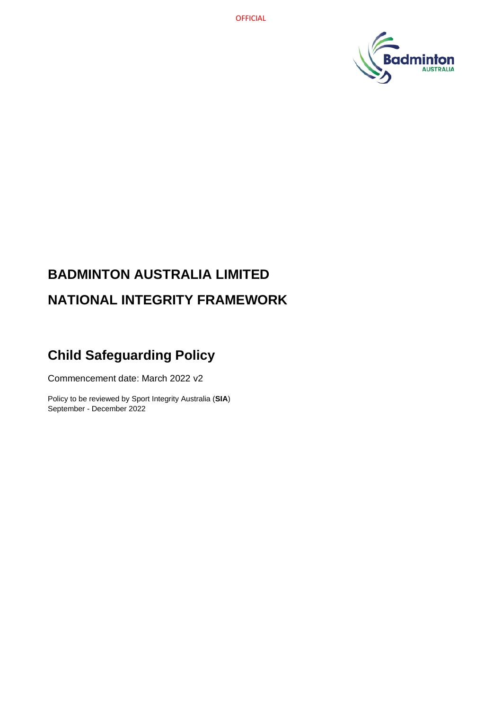

# **BADMINTON AUSTRALIA LIMITED NATIONAL INTEGRITY FRAMEWORK**

## **Child Safeguarding Policy**

Commencement date: March 2022 v2

Policy to be reviewed by Sport Integrity Australia (**SIA**) September - December 2022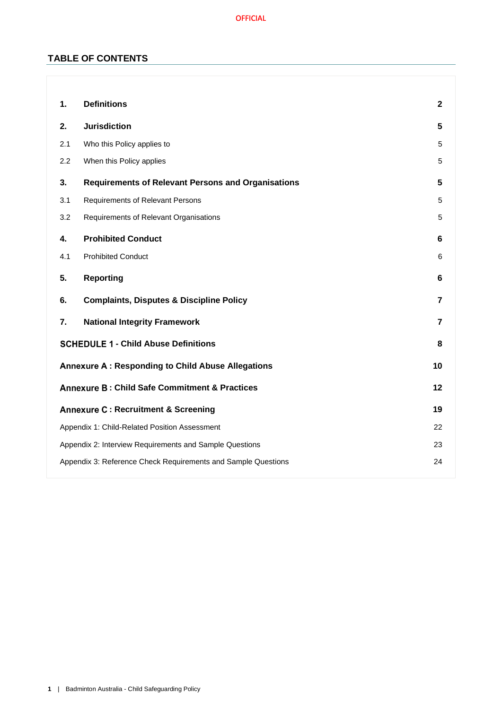## **TABLE OF CONTENTS**

| 1.                                                       | <b>Definitions</b>                                            | $\mathbf{2}$   |
|----------------------------------------------------------|---------------------------------------------------------------|----------------|
| 2.                                                       | <b>Jurisdiction</b>                                           | 5              |
| 2.1                                                      | Who this Policy applies to                                    | 5              |
| 2.2                                                      | When this Policy applies                                      | 5              |
| 3.                                                       | <b>Requirements of Relevant Persons and Organisations</b>     | 5              |
| 3.1                                                      | Requirements of Relevant Persons                              | 5              |
| 3.2                                                      | Requirements of Relevant Organisations                        | 5              |
| 4.                                                       | <b>Prohibited Conduct</b>                                     | 6              |
| 4.1                                                      | <b>Prohibited Conduct</b>                                     | 6              |
| 5.                                                       | <b>Reporting</b>                                              | 6              |
| 6.                                                       | <b>Complaints, Disputes &amp; Discipline Policy</b>           | $\overline{7}$ |
| 7.                                                       | <b>National Integrity Framework</b>                           | 7              |
| <b>SCHEDULE 1 - Child Abuse Definitions</b>              |                                                               | 8              |
| Annexure A: Responding to Child Abuse Allegations        |                                                               | 10             |
| <b>Annexure B: Child Safe Commitment &amp; Practices</b> |                                                               | 12             |
| <b>Annexure C: Recruitment &amp; Screening</b>           |                                                               | 19             |
| Appendix 1: Child-Related Position Assessment            |                                                               | 22             |
| Appendix 2: Interview Requirements and Sample Questions  |                                                               | 23             |
|                                                          | Appendix 3: Reference Check Requirements and Sample Questions | 24             |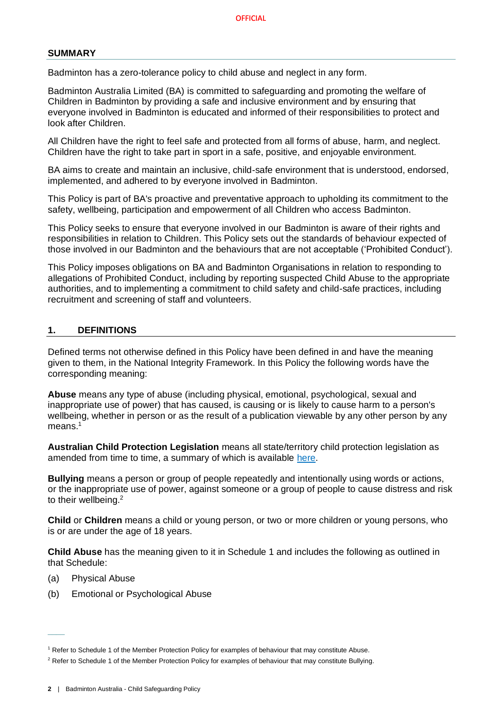#### **SUMMARY**

Badminton has a zero-tolerance policy to child abuse and neglect in any form.

Badminton Australia Limited (BA) is committed to safeguarding and promoting the welfare of Children in Badminton by providing a safe and inclusive environment and by ensuring that everyone involved in Badminton is educated and informed of their responsibilities to protect and look after Children.

All Children have the right to feel safe and protected from all forms of abuse, harm, and neglect. Children have the right to take part in sport in a safe, positive, and enjoyable environment.

BA aims to create and maintain an inclusive, child-safe environment that is understood, endorsed, implemented, and adhered to by everyone involved in Badminton.

This Policy is part of BA's proactive and preventative approach to upholding its commitment to the safety, wellbeing, participation and empowerment of all Children who access Badminton.

This Policy seeks to ensure that everyone involved in our Badminton is aware of their rights and responsibilities in relation to Children. This Policy sets out the standards of behaviour expected of those involved in our Badminton and the behaviours that are not acceptable ('Prohibited Conduct').

This Policy imposes obligations on BA and Badminton Organisations in relation to responding to allegations of Prohibited Conduct, including by reporting suspected Child Abuse to the appropriate authorities, and to implementing a commitment to child safety and child-safe practices, including recruitment and screening of staff and volunteers.

#### <span id="page-2-0"></span>**1. DEFINITIONS**

Defined terms not otherwise defined in this Policy have been defined in and have the meaning given to them, in the National Integrity Framework. In this Policy the following words have the corresponding meaning:

**Abuse** means any type of abuse (including physical, emotional, psychological, sexual and inappropriate use of power) that has caused, is causing or is likely to cause harm to a person's wellbeing, whether in person or as the result of a publication viewable by any other person by any means.<sup>1</sup>

**Australian Child Protection Legislation** means all state/territory child protection legislation as amended from time to time, a summary of which is available [here.](https://aifs.gov.au/cfca/publications/australian-child-protection-legislation)

**Bullying** means a person or group of people repeatedly and intentionally using words or actions, or the inappropriate use of power, against someone or a group of people to cause distress and risk to their wellbeing.<sup>2</sup>

**Child** or **Children** means a child or young person, or two or more children or young persons, who is or are under the age of 18 years.

**Child Abuse** has the meaning given to it in Schedule 1 and includes the following as outlined in that Schedule:

(a) Physical Abuse

 $\overline{\phantom{a}}$ 

(b) Emotional or Psychological Abuse

<sup>1</sup> Refer to Schedule 1 of the Member Protection Policy for examples of behaviour that may constitute Abuse.

<sup>&</sup>lt;sup>2</sup> Refer to Schedule 1 of the Member Protection Policy for examples of behaviour that may constitute Bullying.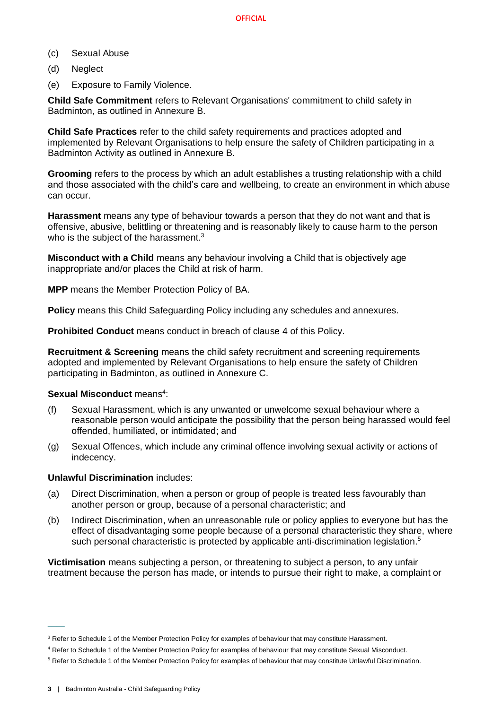- (c) Sexual Abuse
- (d) Neglect
- (e) Exposure to Family Violence.

**Child Safe Commitment** refers to Relevant Organisations' commitment to child safety in Badminton, as outlined in Annexure B.

**Child Safe Practices** refer to the child safety requirements and practices adopted and implemented by Relevant Organisations to help ensure the safety of Children participating in a Badminton Activity as outlined in Annexure B.

**Grooming** refers to the process by which an adult establishes a trusting relationship with a child and those associated with the child's care and [wellbeing,](https://www.kidspot.com.au/lifestyle/entertainment/celebrity-news/blue-wiggle-says-he-caught-viral-meningitis-from-kids-at-concerts/news-story/57c5b6c145dc8eb7e8e278da61653ae1) to create an environment in which abuse can occur.

**Harassment** means any type of behaviour towards a person that they do not want and that is offensive, abusive, belittling or threatening and is reasonably likely to cause harm to the person who is the subject of the harassment.<sup>3</sup>

**Misconduct with a Child** means any behaviour involving a Child that is objectively age inappropriate and/or places the Child at risk of harm.

**MPP** means the Member Protection Policy of BA.

**Policy** means this Child Safeguarding Policy including any schedules and annexures.

**Prohibited Conduct** means conduct in breach of clause [4](#page-6-0) of this Policy.

**Recruitment & Screening** means the child safety recruitment and screening requirements adopted and implemented by Relevant Organisations to help ensure the safety of Children participating in Badminton, as outlined in Annexure C.

#### Sexual Misconduct means<sup>4</sup>:

- (f) Sexual Harassment, which is any unwanted or unwelcome sexual behaviour where a reasonable person would anticipate the possibility that the person being harassed would feel offended, humiliated, or intimidated; and
- (g) Sexual Offences, which include any criminal offence involving sexual activity or actions of indecency.

#### **Unlawful Discrimination** includes:

- (a) Direct Discrimination, when a person or group of people is treated less favourably than another person or group, because of a personal characteristic; and
- (b) Indirect Discrimination, when an unreasonable rule or policy applies to everyone but has the effect of disadvantaging some people because of a personal characteristic they share, where such personal characteristic is protected by applicable anti-discrimination legislation.<sup>5</sup>

**Victimisation** means subjecting a person, or threatening to subject a person, to any unfair treatment because the person has made, or intends to pursue their right to make, a complaint or

 $\overline{\phantom{a}}$ 

<sup>&</sup>lt;sup>3</sup> Refer to Schedule 1 of the Member Protection Policy for examples of behaviour that may constitute Harassment.

<sup>4</sup> Refer to Schedule 1 of the Member Protection Policy for examples of behaviour that may constitute Sexual Misconduct.

<sup>&</sup>lt;sup>5</sup> Refer to Schedule 1 of the Member Protection Policy for examples of behaviour that may constitute Unlawful Discrimination.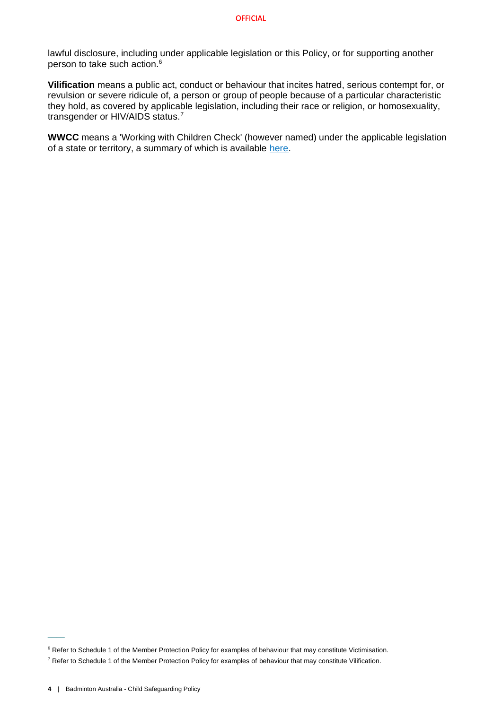lawful disclosure, including under applicable legislation or this Policy, or for supporting another person to take such action.<sup>6</sup>

**Vilification** means a public act, conduct or behaviour that incites hatred, serious contempt for, or revulsion or severe ridicule of, a person or group of people because of a particular characteristic they hold, as covered by applicable legislation, including their race or religion, or homosexuality, transgender or HIV/AIDS status.<sup>7</sup>

**WWCC** means a 'Working with Children Check' (however named) under the applicable legislation of a state or territory, a summary of which is available [here.](https://aifs.gov.au/cfca/publications/pre-employment-screening-working-children-checks-and-police-checks/part-b-state-and)

 $\overline{\phantom{a}}$ 

<sup>&</sup>lt;sup>6</sup> Refer to Schedule 1 of the Member Protection Policy for examples of behaviour that may constitute Victimisation.

<sup>7</sup> Refer to Schedule 1 of the Member Protection Policy for examples of behaviour that may constitute Vilification.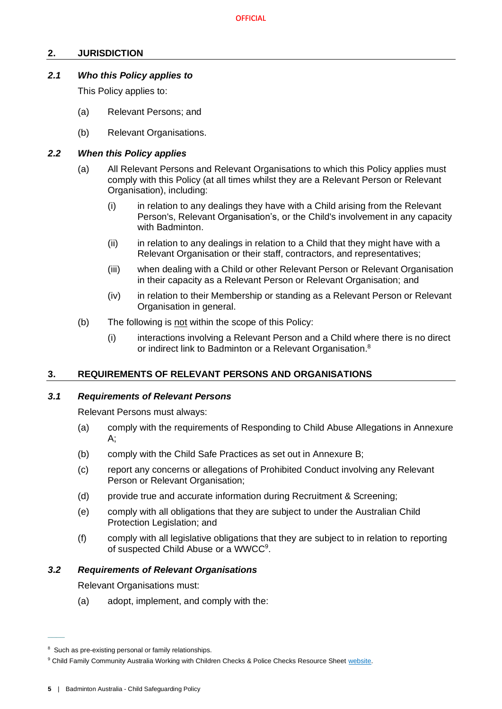#### <span id="page-5-0"></span>**2. JURISDICTION**

## <span id="page-5-1"></span>*2.1 Who this Policy applies to*

This Policy applies to:

- (a) Relevant Persons; and
- (b) Relevant Organisations.

#### <span id="page-5-2"></span>*2.2 When this Policy applies*

- (a) All Relevant Persons and Relevant Organisations to which this Policy applies must comply with this Policy (at all times whilst they are a Relevant Person or Relevant Organisation), including:
	- (i) in relation to any dealings they have with a Child arising from the Relevant Person's, Relevant Organisation's, or the Child's involvement in any capacity with Badminton.
	- (ii) in relation to any dealings in relation to a Child that they might have with a Relevant Organisation or their staff, contractors, and representatives;
	- (iii) when dealing with a Child or other Relevant Person or Relevant Organisation in their capacity as a Relevant Person or Relevant Organisation; and
	- (iv) in relation to their Membership or standing as a Relevant Person or Relevant Organisation in general.
- (b) The following is not within the scope of this Policy:
	- (i) interactions involving a Relevant Person and a Child where there is no direct or indirect link to Badminton or a Relevant Organisation.<sup>8</sup>

#### <span id="page-5-3"></span>**3. REQUIREMENTS OF RELEVANT PERSONS AND ORGANISATIONS**

#### <span id="page-5-4"></span>*3.1 Requirements of Relevant Persons*

Relevant Persons must always:

- (a) comply with the requirements of Responding to Child Abuse Allegations in Annexure A;
- (b) comply with the Child Safe Practices as set out in Annexure B;
- (c) report any concerns or allegations of Prohibited Conduct involving any Relevant Person or Relevant Organisation;
- (d) provide true and accurate information during Recruitment & Screening;
- (e) comply with all obligations that they are subject to under the Australian Child Protection Legislation; and
- (f) comply with all legislative obligations that they are subject to in relation to reporting of suspected Child Abuse or a WWCC<sup>9</sup>.

#### <span id="page-5-6"></span><span id="page-5-5"></span>*3.2 Requirements of Relevant Organisations*

Relevant Organisations must:

(a) adopt, implement, and comply with the:

 $\overline{\phantom{a}}$ 

<sup>&</sup>lt;sup>8</sup> Such as pre-existing personal or family relationships.

<sup>&</sup>lt;sup>9</sup> Child Family Community Australia Working with Children Checks & Police Checks Resource Sheet [website.](https://aifs.gov.au/cfca/publications/pre-employment-screening-working-children-checks-and-police-checks/part-b-state-and)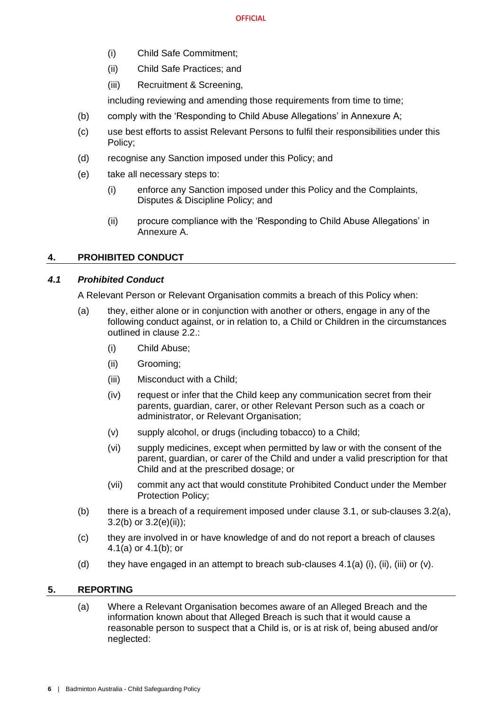- (i) Child Safe Commitment;
- (ii) Child Safe Practices; and
- (iii) Recruitment & Screening,

including reviewing and amending those requirements from time to time:

- <span id="page-6-3"></span>(b) comply with the 'Responding to Child Abuse Allegations' in Annexure A;
- (c) use best efforts to assist Relevant Persons to fulfil their responsibilities under this Policy;
- (d) recognise any Sanction imposed under this Policy; and
- (e) take all necessary steps to:
	- (i) enforce any Sanction imposed under this Policy and the Complaints, Disputes & Discipline Policy; and
	- (ii) procure compliance with the 'Responding to Child Abuse Allegations' in Annexure A.

#### <span id="page-6-4"></span><span id="page-6-0"></span>**4. PROHIBITED CONDUCT**

#### <span id="page-6-5"></span><span id="page-6-1"></span>*4.1 Prohibited Conduct*

A Relevant Person or Relevant Organisation commits a breach of this Policy when:

- (a) they, either alone or in conjunction with another or others, engage in any of the following conduct against, or in relation to, a Child or Children in the circumstances outlined in clause [2.2.](#page-5-2):
	- (i) Child Abuse;
	- (ii) Grooming;
	- (iii) Misconduct with a Child;
	- (iv) request or infer that the Child keep any communication secret from their parents, guardian, carer, or other Relevant Person such as a coach or administrator, or Relevant Organisation;
	- (v) supply alcohol, or drugs (including tobacco) to a Child;
	- (vi) supply medicines, except when permitted by law or with the consent of the parent, guardian, or carer of the Child and under a valid prescription for that Child and at the prescribed dosage; or
	- (vii) commit any act that would constitute Prohibited Conduct under the Member Protection Policy;
- <span id="page-6-6"></span>(b) there is a breach of a requirement imposed under clause [3.1,](#page-5-4) or sub-clauses [3.2\(a\),](#page-5-6) [3.2\(b\)](#page-6-3) or [3.2\(e\)\(ii\)\)](#page-6-4);
- (c) they are involved in or have knowledge of and do not report a breach of clauses [4.1\(a\)](#page-6-5) or [4.1\(b\);](#page-6-6) or
- (d) they have engaged in an attempt to breach sub-clauses  $4.1(a)$  (i), (ii), (iii) or (v).

#### <span id="page-6-2"></span>**5. REPORTING**

(a) Where a Relevant Organisation becomes aware of an Alleged Breach and the information known about that Alleged Breach is such that it would cause a reasonable person to suspect that a Child is, or is at risk of, being abused and/or neglected: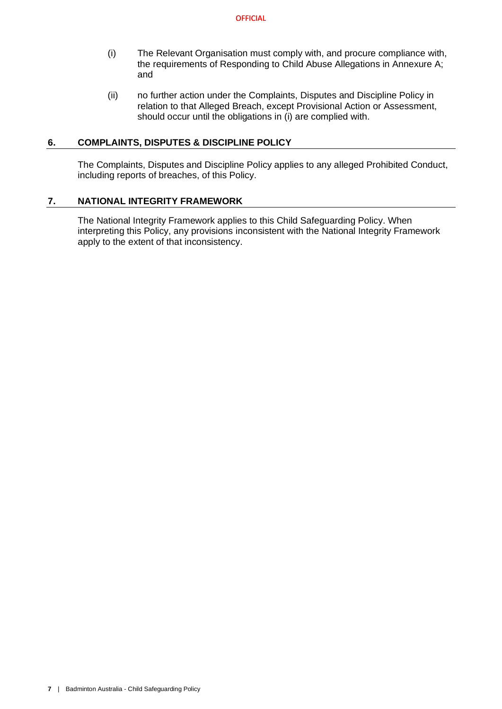- (i) The Relevant Organisation must comply with, and procure compliance with, the requirements of Responding to Child Abuse Allegations in Annexure A; and
- (ii) no further action under the Complaints, Disputes and Discipline Policy in relation to that Alleged Breach, except Provisional Action or Assessment, should occur until the obligations in (i) are complied with.

#### <span id="page-7-0"></span>**6. COMPLAINTS, DISPUTES & DISCIPLINE POLICY**

The Complaints, Disputes and Discipline Policy applies to any alleged Prohibited Conduct, including reports of breaches, of this Policy.

#### <span id="page-7-1"></span>**7. NATIONAL INTEGRITY FRAMEWORK**

The National Integrity Framework applies to this Child Safeguarding Policy. When interpreting this Policy, any provisions inconsistent with the National Integrity Framework apply to the extent of that inconsistency.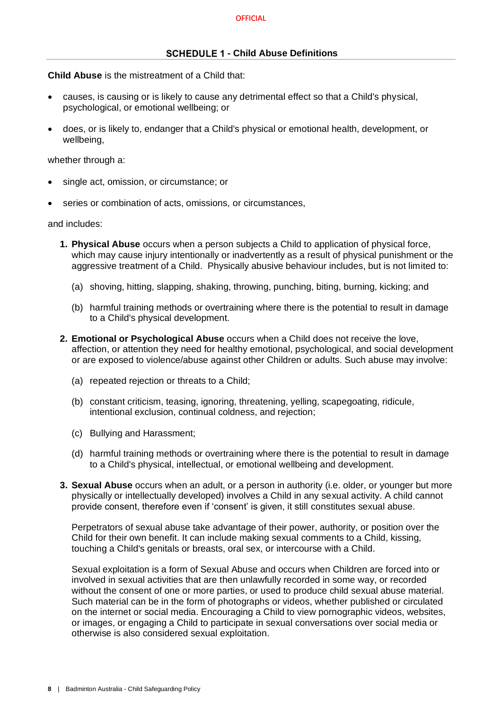#### <span id="page-8-0"></span>**- Child Abuse Definitions**

**Child Abuse** is the mistreatment of a Child that:

- causes, is causing or is likely to cause any detrimental effect so that a Child's physical, psychological, or emotional wellbeing; or
- does, or is likely to, endanger that a Child's physical or emotional health, development, or wellbeing,

whether through a:

- single act, omission, or circumstance; or
- series or combination of acts, omissions, or circumstances,

and includes:

- **1. Physical Abuse** occurs when a person subjects a Child to application of physical force, which may cause injury intentionally or inadvertently as a result of physical punishment or the aggressive treatment of a Child. Physically abusive behaviour includes, but is not limited to:
	- (a) shoving, hitting, slapping, shaking, throwing, punching, biting, burning, kicking; and
	- (b) harmful training methods or overtraining where there is the potential to result in damage to a Child's physical development.
- **2. Emotional or Psychological Abuse** occurs when a Child does not receive the love, affection, or attention they need for healthy emotional, psychological, and social development or are exposed to violence/abuse against other Children or adults. Such abuse may involve:
	- (a) repeated rejection or threats to a Child;
	- (b) constant criticism, teasing, ignoring, threatening, yelling, scapegoating, ridicule, intentional exclusion, continual coldness, and rejection;
	- (c) Bullying and Harassment;
	- (d) harmful training methods or overtraining where there is the potential to result in damage to a Child's physical, intellectual, or emotional wellbeing and development.
- **3. Sexual Abuse** occurs when an adult, or a person in authority (i.e. older, or younger but more physically or intellectually developed) involves a Child in any sexual activity. A child cannot provide consent, therefore even if 'consent' is given, it still constitutes sexual abuse.

Perpetrators of sexual abuse take advantage of their power, authority, or position over the Child for their own benefit. It can include making sexual comments to a Child, kissing, touching a Child's genitals or breasts, oral sex, or intercourse with a Child.

Sexual exploitation is a form of Sexual Abuse and occurs when Children are forced into or involved in sexual activities that are then unlawfully recorded in some way, or recorded without the consent of one or more parties, or used to produce child sexual abuse material. Such material can be in the form of photographs or videos, whether published or circulated on the internet or social media. Encouraging a Child to view pornographic videos, websites, or images, or engaging a Child to participate in sexual conversations over social media or otherwise is also considered sexual exploitation.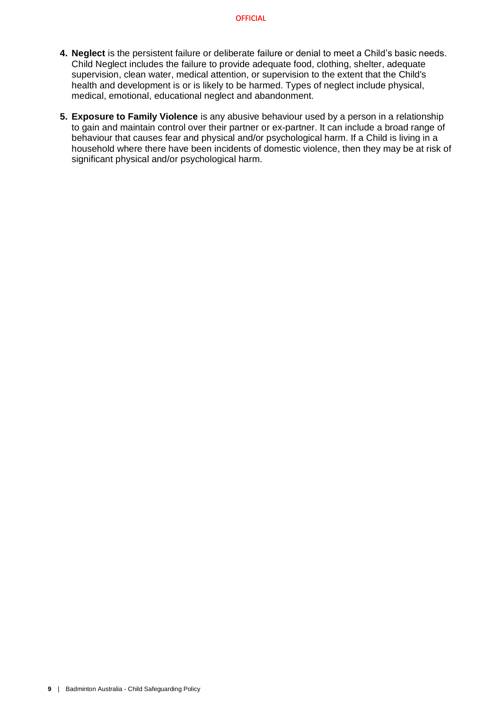- **4. Neglect** is the persistent failure or deliberate failure or denial to meet a Child's basic needs. Child Neglect includes the failure to provide adequate food, clothing, shelter, adequate supervision, clean water, medical attention, or supervision to the extent that the Child's health and development is or is likely to be harmed. Types of neglect include physical, medical, emotional, educational neglect and abandonment.
- **5. Exposure to Family Violence** is any abusive behaviour used by a person in a relationship to gain and maintain control over their partner or ex-partner. It can include a broad range of behaviour that causes fear and physical and/or psychological harm. If a Child is living in a household where there have been incidents of domestic violence, then they may be at risk of significant physical and/or psychological harm.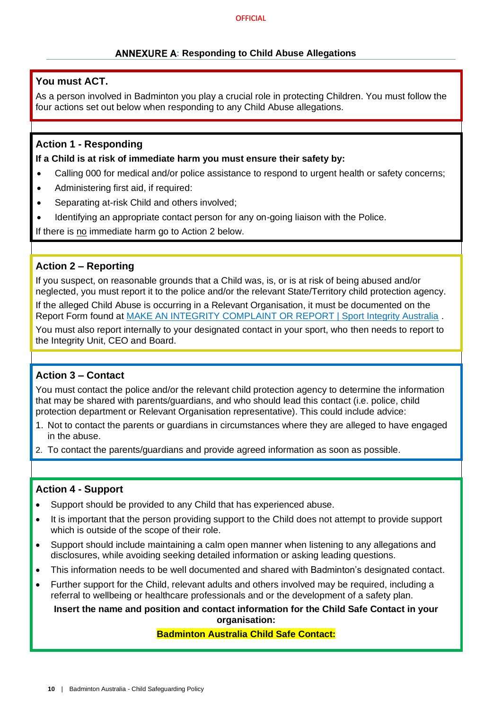#### **OFFICIAL**

## **: Responding to Child Abuse Allegations**

## <span id="page-10-0"></span>**You must ACT.**

As a person involved in Badminton you play a crucial role in protecting Children. You must follow the four actions set out below when responding to any Child Abuse allegations.

## **Action 1 - Responding**

**If a Child is at risk of immediate harm you must ensure their safety by:**

- Calling 000 for medical and/or police assistance to respond to urgent health or safety concerns;
- Administering first aid, if required:
- Separating at-risk Child and others involved;
- Identifying an appropriate contact person for any on-going liaison with the Police.

If there is no immediate harm go to Action 2 below.

## **Action 2 – Reporting**

If you suspect, on reasonable grounds that a Child was, is, or is at risk of being abused and/or neglected, you must report it to the police and/or the relevant State/Territory child protection agency.

If the alleged Child Abuse is occurring in a Relevant Organisation, it must be documented on the Report Form found at [MAKE AN INTEGRITY COMPLAINT OR REPORT | Sport Integrity Australia](https://www.sportintegrity.gov.au/contact-us/make-an-integrity-complaint-or-report).

You must also report internally to your designated contact in your sport, who then needs to report to the Integrity Unit, CEO and Board.

## **Action 3 – Contact**

You must contact the police and/or the relevant child protection agency to determine the information that may be shared with parents/guardians, and who should lead this contact (i.e. police, child protection department or Relevant Organisation representative). This could include advice:

- 1. Not to contact the parents or guardians in circumstances where they are alleged to have engaged in the abuse.
- 2. To contact the parents/guardians and provide agreed information as soon as possible.

#### **Action 4 - Support**

- Support should be provided to any Child that has experienced abuse.
- It is important that the person providing support to the Child does not attempt to provide support which is outside of the scope of their role.
- Support should include maintaining a calm open manner when listening to any allegations and disclosures, while avoiding seeking detailed information or asking leading questions.
- This information needs to be well documented and shared with Badminton's designated contact.
- Further support for the Child, relevant adults and others involved may be required, including a referral to wellbeing or healthcare professionals and or the development of a safety plan.

**Insert the name and position and contact information for the Child Safe Contact in your organisation:**

**Badminton Australia Child Safe Contact:**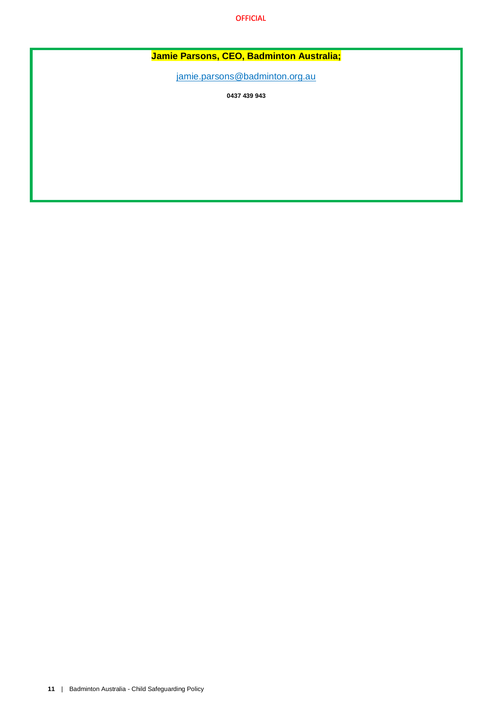**OFFICIAL** 

## **Jamie Parsons, CEO, Badminton Australia;**

[jamie.parsons@badminton.org.au](mailto:jamie.parsons@badminton.org.au)

**0437 439 943**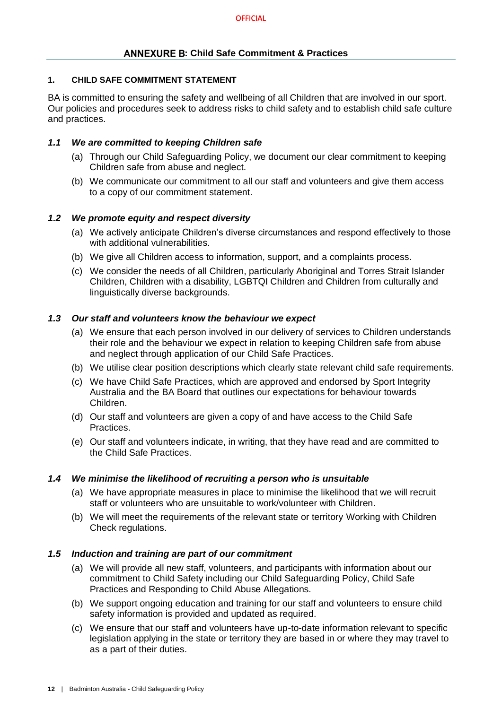## **ANNEXURE B: Child Safe Commitment & Practices**

#### <span id="page-12-0"></span>**1. CHILD SAFE COMMITMENT STATEMENT**

BA is committed to ensuring the safety and wellbeing of all Children that are involved in our sport. Our policies and procedures seek to address risks to child safety and to establish child safe culture and practices.

#### *1.1 We are committed to keeping Children safe*

- (a) Through our Child Safeguarding Policy, we document our clear commitment to keeping Children safe from abuse and neglect.
- (b) We communicate our commitment to all our staff and volunteers and give them access to a copy of our commitment statement.

#### *1.2 We promote equity and respect diversity*

- (a) We actively anticipate Children's diverse circumstances and respond effectively to those with additional vulnerabilities.
- (b) We give all Children access to information, support, and a complaints process.
- (c) We consider the needs of all Children, particularly Aboriginal and Torres Strait Islander Children, Children with a disability, LGBTQI Children and Children from culturally and linguistically diverse backgrounds.

#### *1.3 Our staff and volunteers know the behaviour we expect*

- (a) We ensure that each person involved in our delivery of services to Children understands their role and the behaviour we expect in relation to keeping Children safe from abuse and neglect through application of our Child Safe Practices.
- (b) We utilise clear position descriptions which clearly state relevant child safe requirements.
- (c) We have Child Safe Practices, which are approved and endorsed by Sport Integrity Australia and the BA Board that outlines our expectations for behaviour towards Children.
- (d) Our staff and volunteers are given a copy of and have access to the Child Safe Practices.
- (e) Our staff and volunteers indicate, in writing, that they have read and are committed to the Child Safe Practices.

#### *1.4 We minimise the likelihood of recruiting a person who is unsuitable*

- (a) We have appropriate measures in place to minimise the likelihood that we will recruit staff or volunteers who are unsuitable to work/volunteer with Children.
- (b) We will meet the requirements of the relevant state or territory Working with Children Check regulations.

#### *1.5 Induction and training are part of our commitment*

- (a) We will provide all new staff, volunteers, and participants with information about our commitment to Child Safety including our Child Safeguarding Policy, Child Safe Practices and Responding to Child Abuse Allegations.
- (b) We support ongoing education and training for our staff and volunteers to ensure child safety information is provided and updated as required.
- (c) We ensure that our staff and volunteers have up-to-date information relevant to specific legislation applying in the state or territory they are based in or where they may travel to as a part of their duties.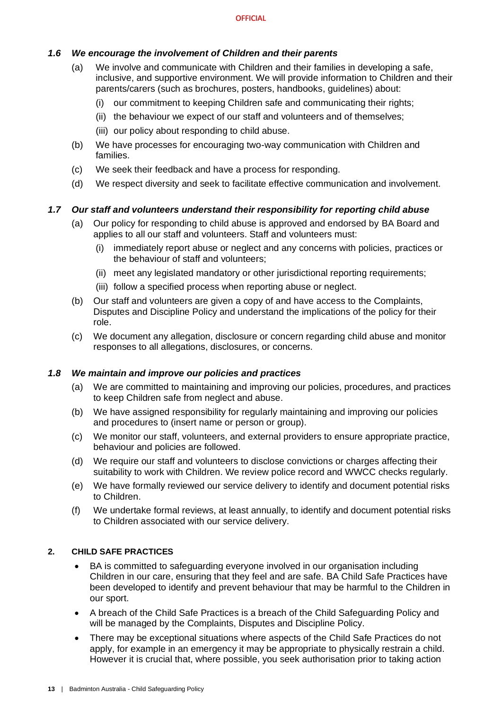#### *1.6 We encourage the involvement of Children and their parents*

- (a) We involve and communicate with Children and their families in developing a safe, inclusive, and supportive environment. We will provide information to Children and their parents/carers (such as brochures, posters, handbooks, guidelines) about:
	- (i) our commitment to keeping Children safe and communicating their rights;
	- (ii) the behaviour we expect of our staff and volunteers and of themselves;
	- (iii) our policy about responding to child abuse.
- (b) We have processes for encouraging two-way communication with Children and families.
- (c) We seek their feedback and have a process for responding.
- (d) We respect diversity and seek to facilitate effective communication and involvement.

#### *1.7 Our staff and volunteers understand their responsibility for reporting child abuse*

- (a) Our policy for responding to child abuse is approved and endorsed by BA Board and applies to all our staff and volunteers. Staff and volunteers must:
	- (i) immediately report abuse or neglect and any concerns with policies, practices or the behaviour of staff and volunteers;
	- (ii) meet any legislated mandatory or other jurisdictional reporting requirements;
	- (iii) follow a specified process when reporting abuse or neglect.
- (b) Our staff and volunteers are given a copy of and have access to the Complaints, Disputes and Discipline Policy and understand the implications of the policy for their role.
- (c) We document any allegation, disclosure or concern regarding child abuse and monitor responses to all allegations, disclosures, or concerns.

#### *1.8 We maintain and improve our policies and practices*

- (a) We are committed to maintaining and improving our policies, procedures, and practices to keep Children safe from neglect and abuse.
- (b) We have assigned responsibility for regularly maintaining and improving our policies and procedures to (insert name or person or group).
- (c) We monitor our staff, volunteers, and external providers to ensure appropriate practice, behaviour and policies are followed.
- (d) We require our staff and volunteers to disclose convictions or charges affecting their suitability to work with Children. We review police record and WWCC checks regularly.
- (e) We have formally reviewed our service delivery to identify and document potential risks to Children.
- (f) We undertake formal reviews, at least annually, to identify and document potential risks to Children associated with our service delivery.

#### **2. CHILD SAFE PRACTICES**

- BA is committed to safeguarding everyone involved in our organisation including Children in our care, ensuring that they feel and are safe. BA Child Safe Practices have been developed to identify and prevent behaviour that may be harmful to the Children in our sport.
- A breach of the Child Safe Practices is a breach of the Child Safeguarding Policy and will be managed by the Complaints, Disputes and Discipline Policy.
- There may be exceptional situations where aspects of the Child Safe Practices do not apply, for example in an emergency it may be appropriate to physically restrain a child. However it is crucial that, where possible, you seek authorisation prior to taking action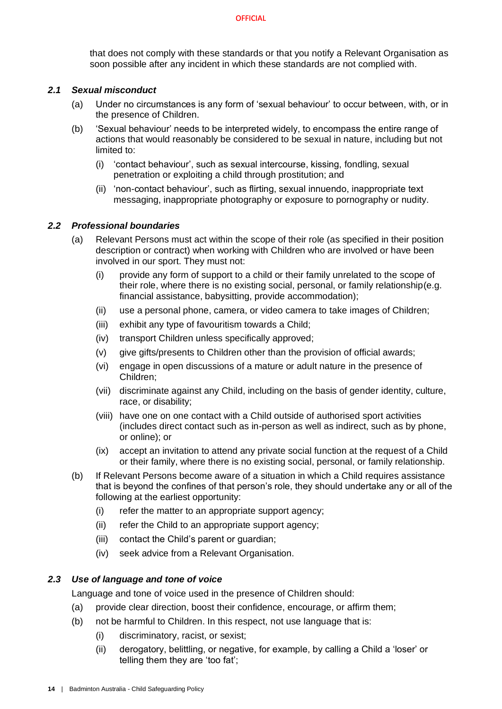that does not comply with these standards or that you notify a Relevant Organisation as soon possible after any incident in which these standards are not complied with.

#### *2.1 Sexual misconduct*

- (a) Under no circumstances is any form of 'sexual behaviour' to occur between, with, or in the presence of Children.
- (b) 'Sexual behaviour' needs to be interpreted widely, to encompass the entire range of actions that would reasonably be considered to be sexual in nature, including but not limited to:
	- (i) 'contact behaviour', such as sexual intercourse, kissing, fondling, sexual penetration or exploiting a child through prostitution; and
	- (ii) 'non-contact behaviour', such as flirting, sexual innuendo, inappropriate text messaging, inappropriate photography or exposure to pornography or nudity.

#### *2.2 Professional boundaries*

- (a) Relevant Persons must act within the scope of their role (as specified in their position description or contract) when working with Children who are involved or have been involved in our sport. They must not:
	- (i) provide any form of support to a child or their family unrelated to the scope of their role, where there is no existing social, personal, or family relationship(e.g. financial assistance, babysitting, provide accommodation);
	- (ii) use a personal phone, camera, or video camera to take images of Children;
	- (iii) exhibit any type of favouritism towards a Child;
	- (iv) transport Children unless specifically approved;
	- (v) give gifts/presents to Children other than the provision of official awards;
	- (vi) engage in open discussions of a mature or adult nature in the presence of Children;
	- (vii) discriminate against any Child, including on the basis of gender identity, culture, race, or disability;
	- (viii) have one on one contact with a Child outside of authorised sport activities (includes direct contact such as in-person as well as indirect, such as by phone, or online); or
	- (ix) accept an invitation to attend any private social function at the request of a Child or their family, where there is no existing social, personal, or family relationship.
- (b) If Relevant Persons become aware of a situation in which a Child requires assistance that is beyond the confines of that person's role, they should undertake any or all of the following at the earliest opportunity:
	- (i) refer the matter to an appropriate support agency;
	- (ii) refer the Child to an appropriate support agency;
	- (iii) contact the Child's parent or guardian;
	- (iv) seek advice from a Relevant Organisation.

#### *2.3 Use of language and tone of voice*

Language and tone of voice used in the presence of Children should:

- (a) provide clear direction, boost their confidence, encourage, or affirm them;
- (b) not be harmful to Children. In this respect, not use language that is:
	- (i) discriminatory, racist, or sexist;
	- (ii) derogatory, belittling, or negative, for example, by calling a Child a 'loser' or telling them they are 'too fat';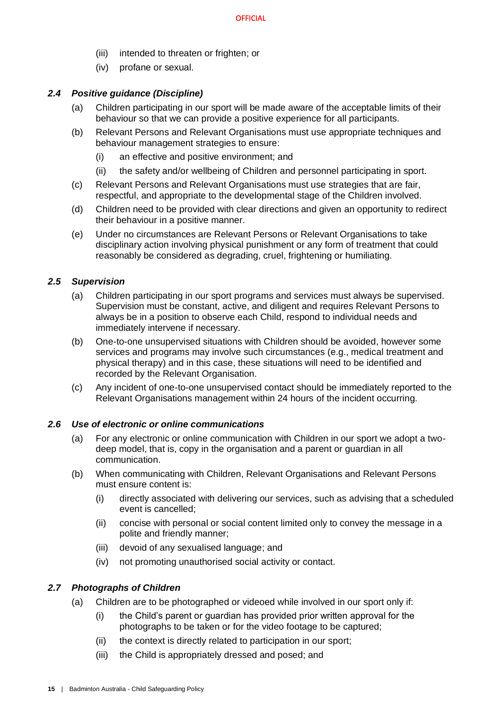- (iii) intended to threaten or frighten; or
- (iv) profane or sexual.

## *2.4 Positive guidance (Discipline)*

- (a) Children participating in our sport will be made aware of the acceptable limits of their behaviour so that we can provide a positive experience for all participants.
- (b) Relevant Persons and Relevant Organisations must use appropriate techniques and behaviour management strategies to ensure:
	- (i) an effective and positive environment; and
	- (ii) the safety and/or wellbeing of Children and personnel participating in sport.
- (c) Relevant Persons and Relevant Organisations must use strategies that are fair, respectful, and appropriate to the developmental stage of the Children involved.
- (d) Children need to be provided with clear directions and given an opportunity to redirect their behaviour in a positive manner.
- (e) Under no circumstances are Relevant Persons or Relevant Organisations to take disciplinary action involving physical punishment or any form of treatment that could reasonably be considered as degrading, cruel, frightening or humiliating.

## *2.5 Supervision*

- (a) Children participating in our sport programs and services must always be supervised. Supervision must be constant, active, and diligent and requires Relevant Persons to always be in a position to observe each Child, respond to individual needs and immediately intervene if necessary.
- (b) One-to-one unsupervised situations with Children should be avoided, however some services and programs may involve such circumstances (e.g., medical treatment and physical therapy) and in this case, these situations will need to be identified and recorded by the Relevant Organisation.
- (c) Any incident of one-to-one unsupervised contact should be immediately reported to the Relevant Organisations management within 24 hours of the incident occurring.

#### *2.6 Use of electronic or online communications*

- (a) For any electronic or online communication with Children in our sport we adopt a twodeep model, that is, copy in the organisation and a parent or guardian in all communication.
- (b) When communicating with Children, Relevant Organisations and Relevant Persons must ensure content is:
	- (i) directly associated with delivering our services, such as advising that a scheduled event is cancelled;
	- (ii) concise with personal or social content limited only to convey the message in a polite and friendly manner;
	- (iii) devoid of any sexualised language; and
	- (iv) not promoting unauthorised social activity or contact.

#### *2.7 Photographs of Children*

- (a) Children are to be photographed or videoed while involved in our sport only if:
	- (i) the Child's parent or guardian has provided prior written approval for the photographs to be taken or for the video footage to be captured;
	- (ii) the context is directly related to participation in our sport;
	- (iii) the Child is appropriately dressed and posed; and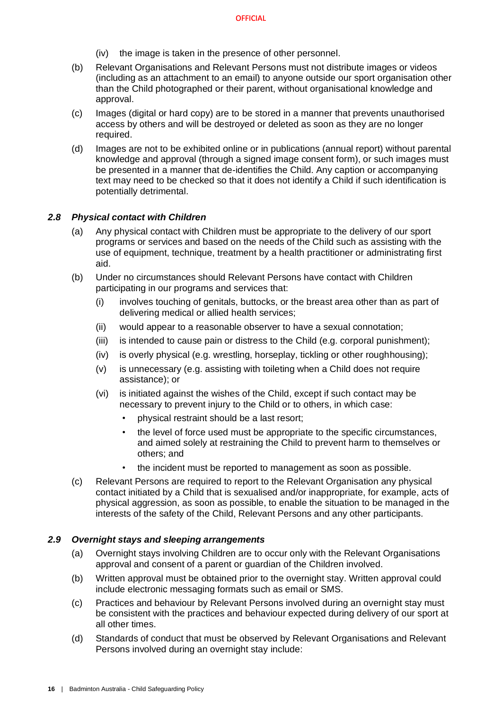- (iv) the image is taken in the presence of other personnel.
- (b) Relevant Organisations and Relevant Persons must not distribute images or videos (including as an attachment to an email) to anyone outside our sport organisation other than the Child photographed or their parent, without organisational knowledge and approval.
- (c) Images (digital or hard copy) are to be stored in a manner that prevents unauthorised access by others and will be destroyed or deleted as soon as they are no longer required.
- (d) Images are not to be exhibited online or in publications (annual report) without parental knowledge and approval (through a signed image consent form), or such images must be presented in a manner that de-identifies the Child. Any caption or accompanying text may need to be checked so that it does not identify a Child if such identification is potentially detrimental.

#### *2.8 Physical contact with Children*

- (a) Any physical contact with Children must be appropriate to the delivery of our sport programs or services and based on the needs of the Child such as assisting with the use of equipment, technique, treatment by a health practitioner or administrating first aid.
- (b) Under no circumstances should Relevant Persons have contact with Children participating in our programs and services that:
	- (i) involves touching of genitals, buttocks, or the breast area other than as part of delivering medical or allied health services;
	- (ii) would appear to a reasonable observer to have a sexual connotation;
	- (iii) is intended to cause pain or distress to the Child (e.g. corporal punishment);
	- (iv) is overly physical (e.g. wrestling, horseplay, tickling or other roughhousing);
	- $(v)$  is unnecessary (e.g. assisting with toileting when a Child does not require assistance); or
	- (vi) is initiated against the wishes of the Child, except if such contact may be necessary to prevent injury to the Child or to others, in which case:
		- physical restraint should be a last resort;
		- the level of force used must be appropriate to the specific circumstances, and aimed solely at restraining the Child to prevent harm to themselves or others; and
		- the incident must be reported to management as soon as possible.
- (c) Relevant Persons are required to report to the Relevant Organisation any physical contact initiated by a Child that is sexualised and/or inappropriate, for example, acts of physical aggression, as soon as possible, to enable the situation to be managed in the interests of the safety of the Child, Relevant Persons and any other participants.

#### *2.9 Overnight stays and sleeping arrangements*

- (a) Overnight stays involving Children are to occur only with the Relevant Organisations approval and consent of a parent or guardian of the Children involved.
- (b) Written approval must be obtained prior to the overnight stay. Written approval could include electronic messaging formats such as email or SMS.
- (c) Practices and behaviour by Relevant Persons involved during an overnight stay must be consistent with the practices and behaviour expected during delivery of our sport at all other times.
- (d) Standards of conduct that must be observed by Relevant Organisations and Relevant Persons involved during an overnight stay include: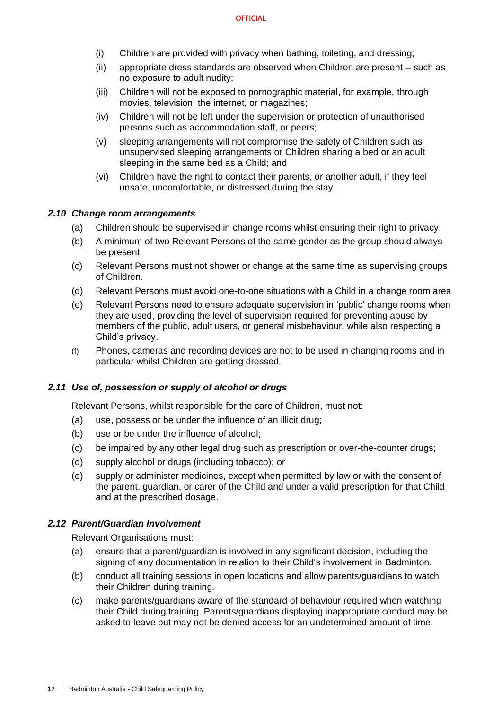- (i) Children are provided with privacy when bathing, toileting, and dressing;
- (ii) appropriate dress standards are observed when Children are present such as no exposure to adult nudity;
- (iii) Children will not be exposed to pornographic material, for example, through movies, television, the internet, or magazines;
- (iv) Children will not be left under the supervision or protection of unauthorised persons such as accommodation staff, or peers;
- (v) sleeping arrangements will not compromise the safety of Children such as unsupervised sleeping arrangements or Children sharing a bed or an adult sleeping in the same bed as a Child; and
- (vi) Children have the right to contact their parents, or another adult, if they feel unsafe, uncomfortable, or distressed during the stay.

#### *2.10 Change room arrangements*

- (a) Children should be supervised in change rooms whilst ensuring their right to privacy.
- (b) A minimum of two Relevant Persons of the same gender as the group should always be present,
- (c) Relevant Persons must not shower or change at the same time as supervising groups of Children.
- (d) Relevant Persons must avoid one-to-one situations with a Child in a change room area
- (e) Relevant Persons need to ensure adequate supervision in 'public' change rooms when they are used, providing the level of supervision required for preventing abuse by members of the public, adult users, or general misbehaviour, while also respecting a Child's privacy.
- (f) Phones, cameras and recording devices are not to be used in changing rooms and in particular whilst Children are getting dressed.

#### *2.11 Use of, possession or supply of alcohol or drugs*

Relevant Persons, whilst responsible for the care of Children, must not:

- (a) use, possess or be under the influence of an illicit drug;
- (b) use or be under the influence of alcohol;
- (c) be impaired by any other legal drug such as prescription or over-the-counter drugs;
- (d) supply alcohol or drugs (including tobacco); or
- (e) supply or administer medicines, except when permitted by law or with the consent of the parent, guardian, or carer of the Child and under a valid prescription for that Child and at the prescribed dosage.

#### *2.12 Parent/Guardian Involvement*

Relevant Organisations must:

- (a) ensure that a parent/guardian is involved in any significant decision, including the signing of any documentation in relation to their Child's involvement in Badminton.
- (b) conduct all training sessions in open locations and allow parents/guardians to watch their Children during training.
- (c) make parents/guardians aware of the standard of behaviour required when watching their Child during training. Parents/guardians displaying inappropriate conduct may be asked to leave but may not be denied access for an undetermined amount of time.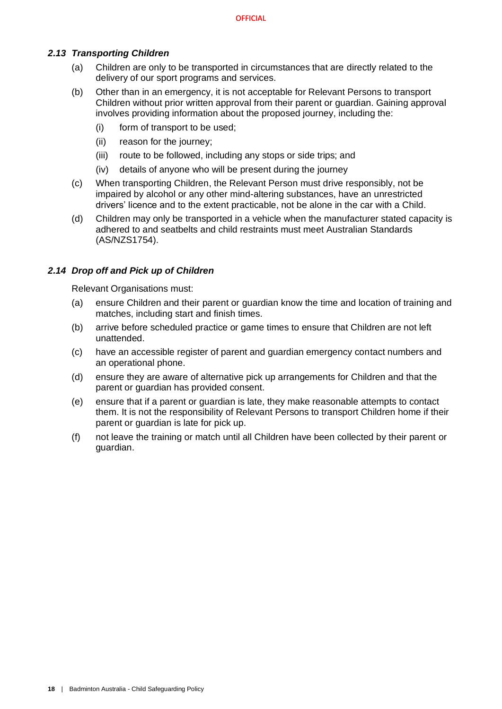## *2.13 Transporting Children*

- (a) Children are only to be transported in circumstances that are directly related to the delivery of our sport programs and services.
- (b) Other than in an emergency, it is not acceptable for Relevant Persons to transport Children without prior written approval from their parent or guardian. Gaining approval involves providing information about the proposed journey, including the:
	- (i) form of transport to be used;
	- (ii) reason for the journey;
	- (iii) route to be followed, including any stops or side trips; and
	- (iv) details of anyone who will be present during the journey
- (c) When transporting Children, the Relevant Person must drive responsibly, not be impaired by alcohol or any other mind-altering substances, have an unrestricted drivers' licence and to the extent practicable, not be alone in the car with a Child.
- (d) Children may only be transported in a vehicle when the manufacturer stated capacity is adhered to and seatbelts and child restraints must meet Australian Standards (AS/NZS1754).

#### *2.14 Drop off and Pick up of Children*

Relevant Organisations must:

- (a) ensure Children and their parent or guardian know the time and location of training and matches, including start and finish times.
- (b) arrive before scheduled practice or game times to ensure that Children are not left unattended.
- (c) have an accessible register of parent and guardian emergency contact numbers and an operational phone.
- (d) ensure they are aware of alternative pick up arrangements for Children and that the parent or guardian has provided consent.
- (e) ensure that if a parent or guardian is late, they make reasonable attempts to contact them. It is not the responsibility of Relevant Persons to transport Children home if their parent or guardian is late for pick up.
- (f) not leave the training or match until all Children have been collected by their parent or guardian.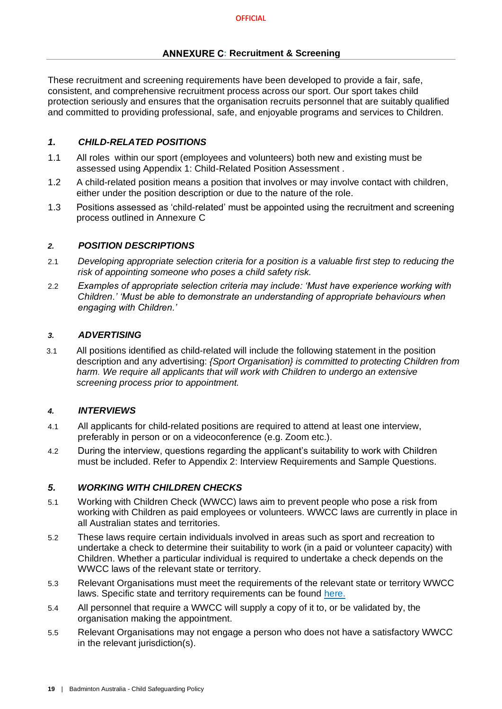<span id="page-19-0"></span>These recruitment and screening requirements have been developed to provide a fair, safe, consistent, and comprehensive recruitment process across our sport. Our sport takes child protection seriously and ensures that the organisation recruits personnel that are suitably qualified and committed to providing professional, safe, and enjoyable programs and services to Children.

#### *1. CHILD-RELATED POSITIONS*

- 1.1 All roles within our sport (employees and volunteers) both new and existing must be assessed using Appendix 1: Child-Related Position Assessment .
- 1.2 A child-related position means a position that involves or may involve contact with children, either under the position description or due to the nature of the role.
- 1.3 Positions assessed as 'child-related' must be appointed using the recruitment and screening process outlined in Annexure C

#### *2. POSITION DESCRIPTIONS*

- 2.1 *Developing appropriate selection criteria for a position is a valuable first step to reducing the risk of appointing someone who poses a child safety risk.*
- 2.2 *Examples of appropriate selection criteria may include: 'Must have experience working with Children.' 'Must be able to demonstrate an understanding of appropriate behaviours when engaging with Children.'*

#### *3. ADVERTISING*

3.1 All positions identified as child-related will include the following statement in the position description and any advertising: *{Sport Organisation} is committed to protecting Children from*  harm. We require all applicants that will work with Children to undergo an extensive *screening process prior to appointment.*

#### *4. INTERVIEWS*

- 4.1 All applicants for child-related positions are required to attend at least one interview, preferably in person or on a videoconference (e.g. Zoom etc.).
- 4.2 During the interview, questions regarding the applicant's suitability to work with Children must be included. Refer to Appendix 2: Interview Requirements and Sample Questions.

#### *5. WORKING WITH CHILDREN CHECKS*

- 5.1 Working with Children Check (WWCC) laws aim to prevent people who pose a risk from working with Children as paid employees or volunteers. WWCC laws are currently in place in all Australian states and territories.
- 5.2 These laws require certain individuals involved in areas such as sport and recreation to undertake a check to determine their suitability to work (in a paid or volunteer capacity) with Children. Whether a particular individual is required to undertake a check depends on the WWCC laws of the relevant state or territory.
- 5.3 Relevant Organisations must meet the requirements of the relevant state or territory WWCC laws. Specific state and territory requirements can be found [here.](https://aifs.gov.au/cfca/publications/pre-employment-screening-working-children-checks-and-police-checks/part-b-state-and)
- 5.4 All personnel that require a WWCC will supply a copy of it to, or be validated by, the organisation making the appointment.
- 5.5 Relevant Organisations may not engage a person who does not have a satisfactory WWCC in the relevant jurisdiction(s).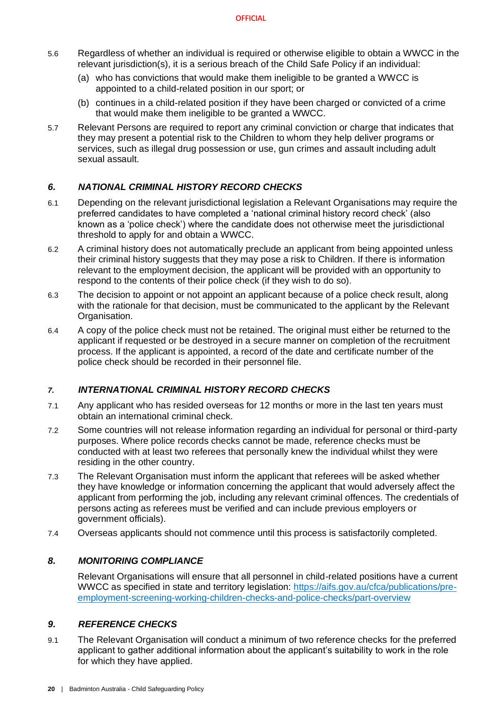- 5.6 Regardless of whether an individual is required or otherwise eligible to obtain a WWCC in the relevant jurisdiction(s), it is a serious breach of the Child Safe Policy if an individual:
	- (a) who has convictions that would make them ineligible to be granted a WWCC is appointed to a child-related position in our sport; or
	- (b) continues in a child-related position if they have been charged or convicted of a crime that would make them ineligible to be granted a WWCC.
- 5.7 Relevant Persons are required to report any criminal conviction or charge that indicates that they may present a potential risk to the Children to whom they help deliver programs or services, such as illegal drug possession or use, gun crimes and assault including adult sexual assault.

## *6. NATIONAL CRIMINAL HISTORY RECORD CHECKS*

- 6.1 Depending on the relevant jurisdictional legislation a Relevant Organisations may require the preferred candidates to have completed a 'national criminal history record check' (also known as a 'police check') where the candidate does not otherwise meet the jurisdictional threshold to apply for and obtain a WWCC.
- 6.2 A criminal history does not automatically preclude an applicant from being appointed unless their criminal history suggests that they may pose a risk to Children. If there is information relevant to the employment decision, the applicant will be provided with an opportunity to respond to the contents of their police check (if they wish to do so).
- 6.3 The decision to appoint or not appoint an applicant because of a police check result, along with the rationale for that decision, must be communicated to the applicant by the Relevant Organisation.
- 6.4 A copy of the police check must not be retained. The original must either be returned to the applicant if requested or be destroyed in a secure manner on completion of the recruitment process. If the applicant is appointed, a record of the date and certificate number of the police check should be recorded in their personnel file.

#### *7. INTERNATIONAL CRIMINAL HISTORY RECORD CHECKS*

- 7.1 Any applicant who has resided overseas for 12 months or more in the last ten years must obtain an international criminal check.
- 7.2 Some countries will not release information regarding an individual for personal or third-party purposes. Where police records checks cannot be made, reference checks must be conducted with at least two referees that personally knew the individual whilst they were residing in the other country.
- 7.3 The Relevant Organisation must inform the applicant that referees will be asked whether they have knowledge or information concerning the applicant that would adversely affect the applicant from performing the job, including any relevant criminal offences. The credentials of persons acting as referees must be verified and can include previous employers or government officials).
- 7.4 Overseas applicants should not commence until this process is satisfactorily completed.

#### *8. MONITORING COMPLIANCE*

Relevant Organisations will ensure that all personnel in child-related positions have a current WWCC as specified in state and territory legislation: [https://aifs.gov.au/cfca/publications/pre](https://aifs.gov.au/cfca/publications/pre-employment-screening-working-children-checks-and-police-checks/part-overview)[employment-screening-working-children-checks-and-police-checks/part-overview](https://aifs.gov.au/cfca/publications/pre-employment-screening-working-children-checks-and-police-checks/part-overview)

#### *9. REFERENCE CHECKS*

9.1 The Relevant Organisation will conduct a minimum of two reference checks for the preferred applicant to gather additional information about the applicant's suitability to work in the role for which they have applied.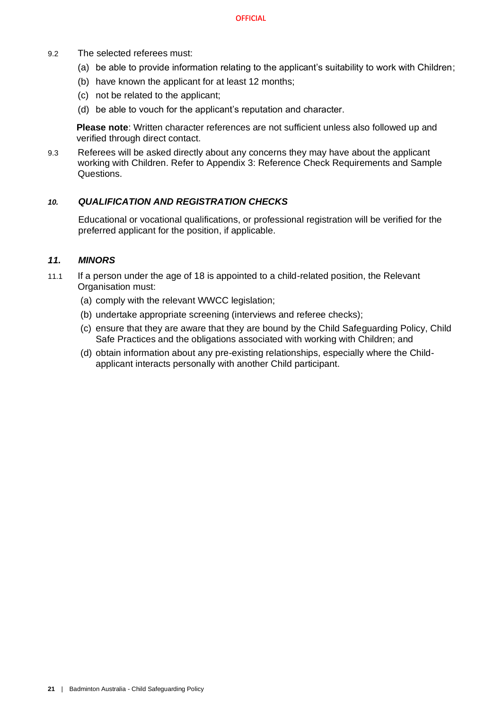- 9.2 The selected referees must:
	- (a) be able to provide information relating to the applicant's suitability to work with Children;
	- (b) have known the applicant for at least 12 months;
	- (c) not be related to the applicant;
	- (d) be able to vouch for the applicant's reputation and character.

**Please note**: Written character references are not sufficient unless also followed up and verified through direct contact.

9.3 Referees will be asked directly about any concerns they may have about the applicant working with Children. Refer to Appendix 3: Reference Check Requirements and Sample Questions.

#### *10. QUALIFICATION AND REGISTRATION CHECKS*

Educational or vocational qualifications, or professional registration will be verified for the preferred applicant for the position, if applicable.

#### *11. MINORS*

- 11.1 If a person under the age of 18 is appointed to a child-related position, the Relevant Organisation must:
	- (a) comply with the relevant WWCC legislation;
	- (b) undertake appropriate screening (interviews and referee checks);
	- (c) ensure that they are aware that they are bound by the Child Safeguarding Policy, Child Safe Practices and the obligations associated with working with Children; and
	- (d) obtain information about any pre-existing relationships, especially where the Childapplicant interacts personally with another Child participant.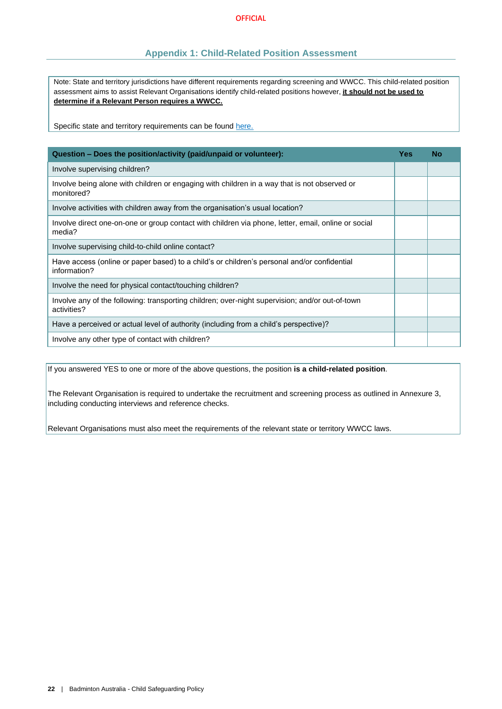#### **OFFICIAL**

#### **Appendix 1: Child-Related Position Assessment**

<span id="page-22-0"></span>Note: State and territory jurisdictions have different requirements regarding screening and WWCC. This child-related position assessment aims to assist Relevant Organisations identify child-related positions however, **it should not be used to determine if a Relevant Person requires a WWCC.**

Specific state and territory requirements can be found [here.](https://aifs.gov.au/cfca/publications/pre-employment-screening-working-children-checks-and-police-checks/part-b-state-and)

| Question - Does the position/activity (paid/unpaid or volunteer):                                              |  | No |
|----------------------------------------------------------------------------------------------------------------|--|----|
| Involve supervising children?                                                                                  |  |    |
| Involve being alone with children or engaging with children in a way that is not observed or<br>monitored?     |  |    |
| Involve activities with children away from the organisation's usual location?                                  |  |    |
| Involve direct one-on-one or group contact with children via phone, letter, email, online or social<br>media?  |  |    |
| Involve supervising child-to-child online contact?                                                             |  |    |
| Have access (online or paper based) to a child's or children's personal and/or confidential<br>information?    |  |    |
| Involve the need for physical contact/touching children?                                                       |  |    |
| Involve any of the following: transporting children; over-night supervision; and/or out-of-town<br>activities? |  |    |
| Have a perceived or actual level of authority (including from a child's perspective)?                          |  |    |
| Involve any other type of contact with children?                                                               |  |    |

If you answered YES to one or more of the above questions, the position **is a child-related position**.

The Relevant Organisation is required to undertake the recruitment and screening process as outlined in Annexure 3, including conducting interviews and reference checks.

Relevant Organisations must also meet the requirements of the relevant state or territory WWCC laws.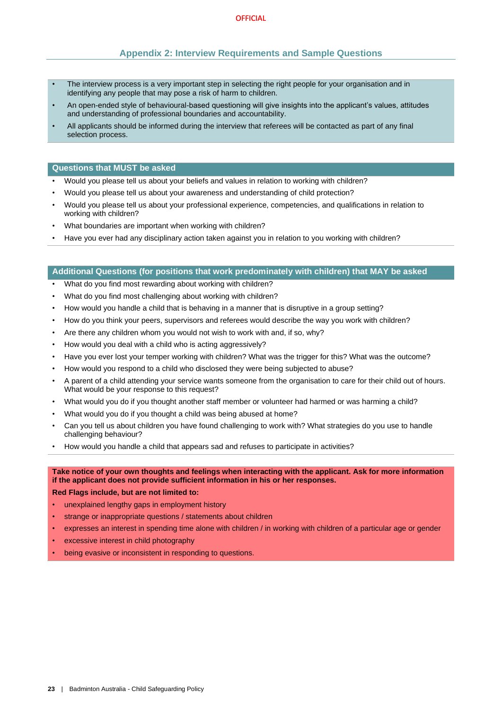#### **Appendix 2: Interview Requirements and Sample Questions**

- <span id="page-23-0"></span>The interview process is a very important step in selecting the right people for your organisation and in identifying any people that may pose a risk of harm to children.
- An open-ended style of behavioural-based questioning will give insights into the applicant's values, attitudes and understanding of professional boundaries and accountability.
- All applicants should be informed during the interview that referees will be contacted as part of any final selection process.

#### **Questions that MUST be asked**

- Would you please tell us about your beliefs and values in relation to working with children?
- Would you please tell us about your awareness and understanding of child protection?
- Would you please tell us about your professional experience, competencies, and qualifications in relation to working with children?
- What boundaries are important when working with children?
- Have you ever had any disciplinary action taken against you in relation to you working with children?

#### **Additional Questions (for positions that work predominately with children) that MAY be asked**

- What do you find most rewarding about working with children?
- What do you find most challenging about working with children?
- How would you handle a child that is behaving in a manner that is disruptive in a group setting?
- How do you think your peers, supervisors and referees would describe the way you work with children?
- Are there any children whom you would not wish to work with and, if so, why?
- How would you deal with a child who is acting aggressively?
- Have you ever lost your temper working with children? What was the trigger for this? What was the outcome?
- How would you respond to a child who disclosed they were being subjected to abuse?
- A parent of a child attending your service wants someone from the organisation to care for their child out of hours. What would be your response to this request?
- What would you do if you thought another staff member or volunteer had harmed or was harming a child?
- What would you do if you thought a child was being abused at home?
- Can you tell us about children you have found challenging to work with? What strategies do you use to handle challenging behaviour?
- How would you handle a child that appears sad and refuses to participate in activities?

#### **Take notice of your own thoughts and feelings when interacting with the applicant. Ask for more information if the applicant does not provide sufficient information in his or her responses.**

**Red Flags include, but are not limited to:**

- unexplained lengthy gaps in employment history
- strange or inappropriate questions / statements about children
- expresses an interest in spending time alone with children / in working with children of a particular age or gender
- excessive interest in child photography
- being evasive or inconsistent in responding to questions.